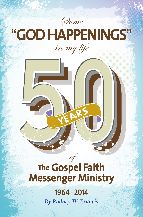

# "**GOD HAPPENINGS**" in my life

# of **The Gospel Faith Messenger Ministry**

**year<sup>s</sup>**

# *By Rodney W. Francis* 1964 - 2014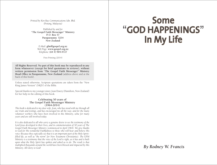*Printed by Ken Ray Communications Sdn. Bhd. (Penang, Malaysia)*

*Published by and for*  **"The Gospel Faith Messenger" Ministry P. O. Box 57 Paraparaumu 5254 New Zealand**

> *E-Mail:* **gfm@gospel.org.nz** *Web Page:* **www.gospel.org.nz** *Telephone:* **(64 4) 904 0727**

> > First Printing (2014)

**All Rights Reserved. No part of this book may be reproduced in any form whatsoever (except for brief quotations in reviews), without written permission from "The Gospel Faith Messenger" Ministry Head Office in Paraparaumu, New Zealand** (address above and at the back of this book).

Unless stated otherwise, Scripture quotations are taken from the "New King James Version" (NKJV) of the Bible.

Special thanks to my younger sister, Joan Emery (Hamilton, New Zealand) for her help in the editing of this book.

#### **Celebrating 50 years of The Gospel Faith Messenger Ministry (1964-2014)**

*This book is dedicated to my dear wife, Jean, who has stood with me through all our trials and testings, and has encouraged me all the way; and for the many volunteer workers who have been involved in this Ministry, some for many years and are still involved today.*

*It is also dedicated to all who carry a genuine desire to see the testimony of the Lord Jesus developed in their lives, and in commemoration of 50 years of The Gospel Faith Messenger Ministry (commenced in April 1964). We give thanks to God for His wonderful Faithfulness to those who will hear and believe His voice (because they especially see that it is an important part of the Holy Spiritfilled life, as well as "the norm" for New Testament Christianity). The GFM Ministry is a testimony that the voice of the Lord is right, as it has and is built*  upon what the Holy Spirit has spoken and asked us to do. The result is that *multiplied thousands around the world have been blessed and impacted by this Ministry. All Glory to God!* 

# **Some**  "**GOD HAPPENINGS**" **In My Life**

*By Rodney W. Francis*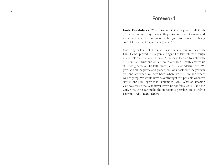#### **Foreword**

God's Faithfulness **:** We are to count it all joy when all kinds of trials come our way because they cause our faith to grow, and gives us the ability to endure ~ that brings us to the realm of being complete, and lacking nothing (James 1:2) .

God truly is Faithful. Over all these years of our journey with Him, He has proved to us again and again His faithfulness through many tests and trials on the way. As we have learned to walk with the Lord, and trust and obey Him in our lives, it truly amazes us at God's greatness, His faithfulness and His wonderful love. We give God all the praise and glory as we look back over the years in awe and see where we have been, where we are now, and where we are going. We would have never thought this possible when we started our lives together in September 1962. What an amazing God we serve; One Who never leaves us nor forsakes us ~ and the Only One Who can make the impossible possible. He is truly a Faithful God! ~ *Jean Francis* .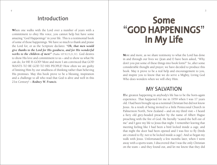## **Introduction**

When one walks with the Lord over a number of years with a commitment to obey His voice, you cannot help but have some amazing "God Happenings" in your life. This is a testimonial book of some of those happenings. We have so much to thank and praise the Lord for, or as the Scripture declares: *"Oh, that men would give thanks to the Lord for His goodness, and for His wonderful*  works to the children of men!" (Psalm 107:8,15,21,31). God desires to show His love and commitment to us  $\sim$  and to show us what He can do, for HE IS GOD! More and more I am convinced that GOD WANTS TO BE GOD TO HIS PEOPLE! How often we are guilty of limiting Him by our smallness of thinking rather than believing His promises. May this book prove to be a blessing, inspiration and a challenge to all who read that God is alive and well in this 21st Century! ~ *Rodney W. Francis*.

# **Some**  "**GOD HAPPENINGS**" **In My Life**

More and more, as we share testimony to what the Lord has done in and through our lives we (Jean and I) have been asked, "Why don't you put some of these things into book form?" So, after some considerable thought and prayer, we have decided to produce this book. May it prove to be a real help and encouragement to you, and inspire you to know that we do serve a Mighty, Living God Who does wonders when we will obey Him.

#### **MY SALVATION**

The greatest happening in anybody's life has to be the born-again experience. That happened for me in 1959 when I was 17 years old. I had been brought up as a nominal Christian but did not know Jesus. As a result of being invited to a little Pentecostal Church in Palmerston North, New Zealand ~ and on my third visit ~ I heard a fiery old grey-headed preacher by the name of Albert Hague preaching with the fire of God. He literally "scared the hell out of me" and I gave my life to Jesus that night. I remember leaving that meeting feeling like I had been a bird locked inside a cage, and that night the door had been opened and I was free to fly (birds are created to fly; not to be locked inside a cage). And so began my walk with Jesus. Unfortunately a few months later, when I went away with a sports team, I discovered that I was the only Christian on the team ~ and they found out, and let me know that they did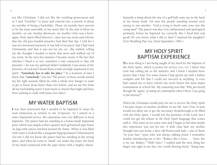not like Christians. I did not like the resulting persecution and so I said *"Good-bye"* to Jesus and entered into a period of about six months of being a backslider. Those six months have proven to be the most miserable of my entire life! At the end of those six months, on one Sunday afternoon, my mother (who was a bornagain, Holy Spirit-filled believer), came into my room and told me that the old grey-headed preacher had died that day. I told her I was not interested anymore (I was full of excuses); that I had tried Christianity and that it was not for me, etc. She replied, telling me she thought I needed to know that news and walked out of my room. In the next few minutes I became aware of the fact that whether I liked it or not, somehow I was connected to that old preacher ~ he was my spiritual father! Suddenly I was aware of the presence of God and I heard these words strongly impressed in my spirit: *"Somebody has to take his place."* In a moment of time I knew that *"somebody"* was me! The power of those words turned my life right around, filled me with a whole new hunger to want to get to know Jesus better than ever before, and set me free from all my backsliding ways! I went back to church that night and have been seeking to walk with Jesus ever since!

## **MY WATER BAPTISM**

I was then instructed that I needed to be baptized in water by total immersion as written in the Scriptures. So I joined in a water baptismal service. My experience was very different to most baptisms. The pastor had me standing in a home-made baptismal pool, which was simply a three-quarter inch galvanized pipe frame on legs with canvas stitched around the frame. When it was filled with water it looked like a pregnant hippopotamus! Unfortunately (for me) I did not know the pastor had me standing in the wrong place, and when he went to "dunk" me under the water, the back of my head connected with the pipe frame with a mighty whack. Instantly a lump about the size of a golf ball came up on the back of my boney head. I'm sure the people standing around were saying to one another: *"God is trying to knock some sense into this young man!"* The pastor was also very embarrassed and apologized profusely, before he baptized me correctly. But I fixed him real good! Do you know what I did to him? I married his daughter! (Our Wedding Day was 22nd September, 1962.)

# **MY HOLY SPIRIT BAPTISM EXPERIENCE**

The next thing is I am being taught of my need for the baptism of the Holy Spirit, which is power for service (Acts 1:8). I knew that God was calling me to the ministry and I knew I needed more power than I had. For some reason I had grown up with a failure complex and felt that I could not succeed at anything. It even had caused me to leave school one week before the most major examination in school life. My reasoning was that *"Why put myself through the 'agony' of sitting an examination when I knew I was going to fail anyway?"* 

When the Christians would pray for me to receive the Holy Spirit I became aware of another problem in my life: fear! Fear of man would not allow me to get the necessary breakthrough to be filled with the Holy Spirit. I would feel the presence of the Lord, but I could not get the release in the Holy Spirit language that comes with it. This went on for some time and I began to feel that maybe this experience was not for me. A little time later my mother brought into our home a fiery old Pentecostal lady  $\sim$  one of those "in your face" types who was always talking Jesus! I remember mother introducing me to her. *"Rodney, this is Sister . . . Sister, this is my son, Rodney." "Hello Sister,"* I replied and the next thing her finger was right in my face, her words flowing freely, "*Young man,*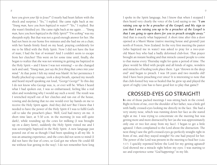*have you given your life to Jesus?"* (I nearly had heart failure with the shock and surprise.) *"Yes,"* I replied. She came right back at me: *"Young man, have you been baptized in water?" "Yes,"* I replied. But she wasn't finished yet. She came right back at me again . . . *"Young man, have you been baptized in the Holy Spirit?" "I'm seeking"* was my sheepish reply. But that was not a good enough answer for her. She had not been in our home five minutes and she had me on a chair, with her hands firmly fixed on my head, praying confidently for me to be filled with the Holy Spirit. Now I did not have the fear of man; I had the fear of woman! And I couldn't seem to escape from her clutches! This went on for some time until, finally, she began to realize that she was not winning in getting me baptized in the Holy Spirit  $\sim$  and I knew I was not winning!  $\sim$  so she changed tack and said, *"Young man, just say the first thing that comes into your mind."* At that point I felt my mind was blank! At her persistence I finally plucked up courage, took a deep breath, opened my mouth and heard myself speaking out loud, *"George! George!"* To this day I do not know who George was, is, or ever will be. When I heard what I had spoken out, I was so embarrassed, feeling like a real idiot and wondering why I would say such a word. The result was I wrenched myself out of her clutches and ran out of the house, vowing and declaring that no one would ever lay hands on me to receive the Holy Spirit again. And they did not! But I knew that I needed to have the power of the Holy Spirit if I was to fulfil God's call to take the preacher's place. Well, God had mercy on me. A short time later, at 5:30 a.m. in the morning (it was still quite dark), while rounding up the cows for milking (I was brought up on a dairy farm), suddenly the Holy Spirit visited me and I was sovereignly baptized in the Holy Spirit. A new language just poured out of me as though I had been speaking it all my life. It was an amazing experience, and the cows did not seem to mind (I did not have the fear of cows, so God got me where He could fill me without fear getting in the way). I do not remember how long I spoke in the Spirit language, but I know that when I stopped I then heard very clearly the voice of the Lord saying to me: *"I am raising you up to be a preacher of the Gospel; and My sign to you that I am raising you up to be a preacher of the Gospel is that I am going to open doors for you to preach straight away."* And that is exactly what happened. A short time after this a door opened at a Maori Marae (native meeting house and ground) just north of Foxton, New Zealand. In the very first meeting the pastor (who baptized me in water) was asked to pray for a two-yearold Maori boy who had a badly deformed club-foot. That prayer brought an instant healing and that miracle caused people to come to that marae every Thursday night for quite a period of time. The place would be filled with people and all kinds of signs, wonders and miracles of healing took place there. I got "thrown in the deep end" and began to preach. I was 18 years and two months old! And I have been preaching ever since! It is interesting to note that that club-footed boy was so healed that he grew up and played the sport of rugby (one has to have good feet to play that game)!

## **CROSSED-EYES GO STRAIGHT!**

In one of those packed meetings I was sitting back in the crowd. Right in front of me, over the shoulder of her father, was a little girl with badly crossed-eyes looking me directly in the face. She had a very snotty nose, which was running down her face as she stared right at me. I was trying to concentrate on the meeting but was getting more and more distracted by her (as she was approximately only one or two feet away from my face). I began to get a little agitated. I then complained to the Lord about the distraction. The next thing I saw the girl's crossed-eyes go perfectly straight right in front of me, and they stayed straight! No one had prayed for her. The power of the Lord was present in the meeting to heal her (Luke 5:17). I quickly repented before the Lord for my getting agitated! God showed me a miracle right before my eyes. I was starting to see and experience some *"God happenings"* in my life.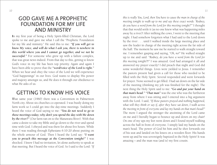## **GOD GAVE ME A PROPHETIC FOUNDATION FOR MY LIFE AND MINISTRY**

In my first year of being a Holy Spirit-filled Christian, the Lord spoke to me and gave me what I call the "Prophetic Foundation for my life and ministry." He said this to me: *"If you will get to know My voice, and will do what I ask you, there is nowhere in this world where you and I cannot go together, and we not be successful."* For someone who grew up with a failure complex, that was great news indeed. From that day to this, getting to know God's voice in my life has been top priority. Again and again I have been able to prove that the *"word/voice of the Lord is right."*  When we hear and obey the voice of the Lord we will experience "God happenings" in our lives. God wants to display His power and majesty amongst us, and He does it through our obedience to what He asks of us.

# **GETTING TO KNOW HIS VOICE**

That same year (1960) there was a Convention in Palmerston North city. About six churches co-operated. I was busily doing my farm work so I could get into the day-time meetings. Suddenly I heard the voice of God saying to me: *"You do not need to go to those meetings today; why don't you spend the day with Me down by the river?"* (Our farm ran on to the Manawatu River). With that came a desire to take my Bible and go down to the river and spend time with God. I obeyed and was there for about five hours. While there I was reading through Ephesians 6:10-20 about putting on the whole armour of God. Then I heard the Lord say: *"I want you to preach this message at the Convention tonight!"* I was shocked. I knew I had no invitation, let alone authority to speak at that meeting. But I heard the voice of God. So I said to the Lord: *"If*  *this is really You, Lord, then You have to cause the man in charge of the meeting tonight to walk up to me and say these exact words: 'Rodney, do you have a word from the Lord for this meeting tonight?'"* I thought that that would settle it (as no one knew what was happening miles away by a river)! After milking the cows, I went to the meeting that night. I had somehow forgotten what I had said to the Lord down by the river . . . until I walked inside the large meeting place and saw the leader in charge of the meeting right across the far side of the hall. The moment he saw me he started to walk straight toward me. I remember gasping and saying, *"Oh, no!"* He walked straight up to me and said: *"Rodney, do you have a word from the Lord for this meeting tonight?!!"* I was amazed. God had arranged it all and answered my prayer exactly! I did preach that night and God did some wonderful things. Lives were yielded to Jesus. I remember the pastors present had given a call for those who needed to be filled with the Holy Spirit. Several responded and went forwards for prayer. None seemed to get filled. I had sat down on the far side of the meeting (thinking my job was finished for the night). The next thing the Holy Spirit said to me: *"Go and put your hand on that man's head." "That man"* was the one who was the furtherest away from where I was sitting and I entered into a big argument with the Lord. I said, *"If those pastors prayed and nothing happened, what will they think or say if, after they have sat down, I walk across the meeting in front of everyone and lay my hands on that man's head?"* The more I argued the stronger the anointing of the Lord came on me and I literally began to bounce up and down on my chair! On one of my ups my feet went down and I found myself walking across the hall in front of everyone. I simply laid my hands on the man's head. The power of God hit him and he shot forwards out of his seat and landed on his knees on a wooden floor. His hands went up and he was sovereignly baptized in the Holy Spirit! It was amazing  $\sim$  and the man was (and is) my first cousin.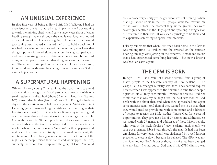## **AN UNUSUAL EXPERIENCE**

In that first year of being a Holy Spirit-filled believer, I had an experience on the farm that had a real impact on me. I was walking towards the milking shed when I saw a large water-shoot of water heading straight at me through the sky. It was long and looked about 3-4 feet wide. I knew it was going to hit me and that I would get soaking wet. I prayed and asked the Lord to hold it back until I reached the shelter of the cowshed. Before my very eyes I saw that thing stop, then it moved sideways across the sky, stopped again, and then came straight at me. I determined not to run, but walked at my normal pace. I watched that thing get closer and closer to me. The moment I stepped under the shelter of the cowshed roof, it poured down with water in a deluge. I was dry and saw God do a miracle just for me!

# **A SUPERNATURAL HAPPENING**

While still a very young Christian I had the opportunity to attend a Convention amongst the Maori people at a marae outside of a small settlement called Tuai (about 30 miles inland from Wairoa, NZ). Jean's oldest Brother (Ian Hunt) was a Tent Evangelist in those days, so the meetings were held in a large tent. Night after night I saw big, grown men walking the aisle to the front to give their lives to Jesus Christ (up to 30 at a time). It was very impacting and one just knew that God was at work there amongst the people. One night, about 12:30 p.m., people were drawn sovereignly out of their beds into the tent to worship God. It is the only time in my life when everyone was in a "meeting" in their pyjamas and nighties! There was no electricity in that small settlement; the meetings were lit-up by a generator. Yet in the dark hours of the night, as the people raised their hands and worshipped the Lord, suddenly the whole tent lit-up with the glory of God. You could see everyone very clearly yet the generator was not running. When that light shone on us in that tent, people went face-forward on to the sawdust floor. The moment they hit the ground they were sovereignly baptized in the Holy Spirit and speaking in tongues for the first time in their lives! It was such a privilege to be there and to experience something so special and precious.

I clearly remember that when I returned back home to the farm it was milking time. As I walked into the cowshed on the concrete flooring, my legs were jarring on the concrete. It made me realize that I had experienced something heavenly  $\sim$  but now I knew I was back on earth again!

# **THE GFM IS BORN**

In April 1964  $\sim$  as a result of a second request from a group of Maori people in the Urewera country of New Zealand  $\sim$  The Gospel Faith Messenger Ministry was born. I say second request because when I was approached the first time to send those people a printed Bible Study each month, I rejected it because I did not think that that was my calling! Over the next few months God dealt with me about that, and when they approached me again some months later, I told them if they wanted me to do that, then they would need to provide me with some names and addresses of people to receive the Bible studies (Praise God for a second opportunity!). They gave me a list of 27 names and addresses. So we started with 27 names and addresses of those Maori people, who lived in the back-blocks of New Zealand. Each month we sent out a printed Bible Study through the mail. It had not been circulating for very long, when I was challenged by a well-known preacher to close it down because he believed The GFM was my own idea and not God's. It was as though a knife had been plunged into my heart. I cried out to God that if this GFM Ministry was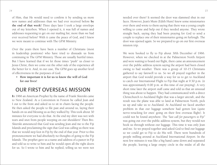of Him, that He would need to confirm it by sending us more new names and addresses than we had ever received before **by the end of that week!** Three days later I took a large envelope out of my letterbox. When I opened it, it was full of names and addresses requesting to get on our mailing list; more than we had ever received before! With it came the peace of God, and I knew we were meant to continue with The GFM Ministry.

Over the years there have been a number of Christians (most in leadership positions) who have tried to dissuade us from continuing in The GFM Ministry. Those are usually hurtful times. But I have learned that if we let those times "push" us closer to Jesus Christ, then we come out the other side of the experience all the better for it. And, in our case, The GFM goes up another level of effectiveness in the purposes of God.

 • **How important it is for us to know the will of God for our lives!** 

# **OUR FIRST OVERSEAS MISSION**

In 1966 an American Prophet by the name of Frank Skierski came to New Zealand. At a Convention in Foxton he called Jean and I out to the front and asked us to sit in chairs facing the people. He then asked the people to file past and around us, laying their hands on us and blessing us as they walked by. This took about 30 minutes for everyone to do that. At the end my shirt was wet with tears and snot from people weeping on our shoulders! Then Bro. Skierski announced that God was sending Jean and me to the Fiji Islands and proclaiming the sign that God was calling us there was that we would step foot in Fiji by the end of that year. Prior to this pronouncement we had absolutely no thoughts of going to the Fiji Islands. The prophet gave us a name and address of a pastor in Fiji and told us to write to him and he would open all the right doors for us. So I wrote to him and he replied, telling us we were not

needed over there! It seemed the door was slammed shut in our faces. However, Jean's Mum (Edith Hunt) knew some missionaries over there and wrote to them saying that there was a young couple willing to come and help out if they needed anyone. They wrote straight back, saying they had been praying for God to send a couple to replace one of their missionaries going on furlough. The door was opened again. So we prepared to go on our first overseas mission trip.

We were booked to fly to Fiji about 30th December of 1966. However, when we checked in at the Palmerston North Airport and were waiting to board our flight, there came an announcement over the public address system saying the airport had been closed owing to bad weather. There was a group of 10-15 Christians gathered to say farewell to us. So we all prayed together in the airport that God would provide a way for us to get to Auckland to catch our International Flight to Fiji that night at 9:30 p.m. (it was approximately 6:00 p.m. at this time of our praying). A very short time later the airport staff came and told us that an unusual thing was about to happen. They had communicated with a direct Christchurch to Auckland flight that was a larger aircraft, and the result was the plane was able to land at Palmerston North, pick us up and take us to Auckland. At Auckland we faced another problem in that our luggage somehow had gotten lost (quite nerve-wracking for ones' going on their first overseas flight). It could not be found anywhere. The *"last call for passengers to Fiji"*  was going out over the public address system, but they would not book us through without our luggage. This time it was only Jean and me. So we prayed together and asked God to find our luggage so we could get to Fiji to do His will. There were hundreds of people milling around at Auckland International Airport. In the next few minutes it was like a big hand came down and separated the people, leaving a large empty circle in the midst of all the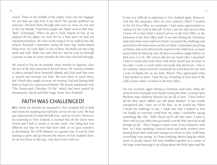crowd. There in the middle of the empty circle was our luggage! No one had any idea how it got there! We quickly grabbed our suitcases, checked them through and soon we were on our way to the Fiji Islands. I had been taught one Fijian word at that time: *"Bula"* (Greetings). When we got to Nadi Airport in Fiji, as we stepped off the plane, we were hit by a heat wave we had not experienced before. We were in the tropics! As we walked into the Airport Terminal I remember seeing all these big, bushy-haired Fijian men. So I said *"Bula"* to one of them. He broke out into a big smile and said: *"Bula! You come with me"* and he took us through Customs so that we were virtually the first ones checked through.

We stayed in Fiji for six months: three months in Sigatoka, then the rest of the time stationed in Ba and Tavua. We visited a number of places around those beautiful islands and God used that time to stretch and increase our faith. We were there to teach them; but I think they taught us more on trusting God and having faith than we had ever experienced before! We mostly ministered with "The Pentecostal Churches Of Fiji" which had been started by missionaries, David and Elsie Sugar (from New Zealand).

## **FAITH WAS CHALLENGED!**

After those six months we returned to New Zealand full of faith and vision for stepping into full-time service for the Lord. We had just experienced a wonderful half year ~ and we loved it. However, on returning to New Zealand, it seemed that all the doors were closed and I had to return to secular work. One thing that was different was that we now had more faith, so we gave ourselves to developing The GFM Ministry in a greater way. It was by then starting to grow and go beyond the shores of New Zealand (how, we do not know to this day; only that God is with us).

It was very difficult re-adjusting to New Zealand again. However, God has His purposes. After we were married (1962) I worked in the NZ Post Office as a postman. I had many opportunities to witness for the Lord in that job. In fact I am the only person (that I know of) to have held a church service in the Post Office at the invitation of the Post Office staff. It was also during the Christmas mail rush when extra staff were hired. I accepted the challenge and preached to the mail sorters as they worked. I remember preaching on Moses, that as he lifted up the serpent in the wilderness, so must Jesus Christ be lifted up, that all men everywhere might believe on Him (John 3:14-18). The sorters did not say much after I preached. I had to return and work there with them myself just an hour or two later. I went to work rather nervously that afternoon ~ but to my surprise, when I arrived, I found all my work done for me with a note of thanks left on my desk. Whew! They appreciated what I had spoken to them. I had the joy of leading at least four of the staff to Jesus while I worked in the Post Office.

On one occasion, again during a Christmas mail rush, while the packed room of people were busily sorting the mail, a young Open Brethren man suddenly blurted out for all to hear: *"I don't believe all this Holy Spirit rubbish you talk about, Rodney!"* It was totally unexpected and "came out of the blue" as we would say. When I heard his challenge to me, I made sure that I replied to him out loudly so everyone could hear my reply. I remember saying something like this: *"Well, David* (we'll call him that), *I want to share with you just what I have personally seen the Holy Spirit do in and through my life."* Then I began to share some of my testimony with him. As I kept speaking I noticed more and more workers were putting down their mail and coming over closer so they could hear everything I was saying. So I kept testifying. Before long the whole room of people (about 40) were huddled together in a corner of the large room listening to me telling about the Holy Spirit and His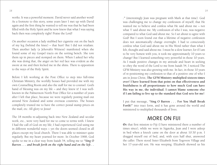works. It was a powerful moment. David never said another word! As a footnote to this story, some years later I met up with David again and the first thing he wanted to tell me was that he had been filled with the Holy Spirit and he now knew that what I was saying back then was completely right! Praise the Lord!

On another occasion a lady stubbed her cigarette out on the back of my leg (behind the knee)  $\sim$  that hurt! But I did not retaliate. Then another lady (a Jehovah's Witness) manifested when she found some of my Gospel tracts on the sorting bench. She tore them up in pieces and stomped on them. When I asked her why she was doing that, the anger on her red face was evident as she swore at me and then kicked me in the shins. There is opposition to the ways of the Holy Spirit.

Before I left working at the Post Office to step into full-time Christian Ministry, the worldly bosses had provided me with my own Counselling Room and also the staff for me to counsel. God's hand of blessing was on my life  $\sim$  and they knew it! I was wellknown in the Palmerston North Post Office for a number of years after I left that place, because we were regularly posting mail out around New Zealand and some overseas countries. The bosses completely trusted me to have the correct postal stamp prices on the mail, etc. All glory to Jesus!

The 18 months re-adjusting back into New Zealand and secular work, etc., were very hard for me to come to terms with. I knew I had the call of God on my life; I had experienced God using me in different wonderful ways ~ yet the doors seemed closed in all places except my local church. There I was able to minister quite regularly. But my heart yearned for more. In October 1968, God spoke to me in a clear way from Isaiah 54, telling me to *"Sing O Barren . . . and break forth on the right hand and on the left . .*  *."* (interestingly Jean was pregnant with Mark at that time). God was challenging me to change my confession of myself; that He wanted me to believe and confess what He said about me  $\sim$  not what 'I' said about me. My confession of who I was, was negative compared to what God said about me. So I set about to agree with God! But I soon found out that a lifetime of negative confession does not automatically change overnight. I had to consciously confess what God said about me in His Word rather than what I felt, thought and said about me. I must be a slow learner, for if I am to be very honest with you, it took me approximately 10 years to change! But I learned something very powerful in those 10 years. As I made positive changes in my attitude and heart in seeking to obey the word of the Lord to me from Isaiah 54, I noticed The GFM Ministry was also growing with me. In fact, in those 10 years of re-positioning my confession to that of a positive one of who I am in Jesus Christ, **The GFM Ministry multiplied sixteen times over! I have learned from that point on that effectiveness and fruitfulness is all proportionate to how much God can have His way in me, the individual. I cannot blame someone else if I am failing to live up to the standard that God sets for me!**

I put that message, **"Sing O Barren . . . For You Shall Break**  Forth!" into tract form, and it has gone around the world and ministered to multiplied thousands of lives.

#### **MORE ON FIJI**

On that first mission to Fiji (I have ministered there a number of times since), while we were in Sigatoka, Jean and I were asleep in bed when a knock came on the door at about 10:30 p.m. I dragged myself out of bed, and, with eyes half shut, answered the caller. There stood Sister Elizabeth from Togovere Village and her 17-year-old son. He was weeping. Elizabeth showed us his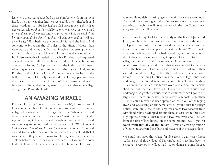leg where there was a large boil on his shin bone with an ingrown head. The pain was dreadful, we were told. Then Elizabeth said these words to me: *"Brother Rodney, God spoke to me at the village tonight and told me that if I would bring my son to you, that you would pray and, within 30 minutes after you pray, we will see the head of the boil turn around, the skin of his shin will split open and pus will run down his leg!"* Elizabeth was a woman of faith and she had to find someone to bring her the 17 miles to the Mission House, then wake us up and tell us that! You can imagine how strong my faith was at that time of night! I knew I did not have that kind of faith. But I also knew that I needed to do what Elizabeth had requested as she did not go to all that trouble at that time of the night on just a hunch or feeling. So I prayed with all the faith I could muster. After praying we sat around and watched the boy's leg. And, just as Elizabeth had declared, within 30 minutes we saw the head of the boil turn around; I literally saw the skin splitting open and then the pus started to run down his leg. What an awesome miracle to be a part of. Today that young man is a pastor in that same village of Togovere. Praise the Lord!

## **AN AMAZING MIRACLE**

On one of my Fiji Ministry Trips (about 1993?), I took a team of four young men from Hamilton with me. We went to the interior village of Nawairabe, up the Sigatoka River. When we arrived there it was announced that a cyclone/hurricane was to hit the region that night. The village elders gathered in the little tin shed we were staying in and made an announcement: *"We believe that God will spare this village, because the man of God is here."* I looked around to see who they were talking about and realized that it was me who they were referring to! Having never experienced a cyclone before I had no idea what to expect ~ but we were to soon find out. It was well dark when it struck. The noise of the wind,

rain and flying debris hitting against the tin house was very loud. The wind was so strong and the rain was so heavy that water was squirting through the nail holes that were in the iron. To say it was scary would be a mild statement.

At that time in my life I had been studying the lives of Jesus and Jonah, and how they both went to sleep in the midst of the storm. So I prayed and asked the Lord for the same experience and, to my surprise, I went to sleep for the next five hours! When I woke up it was daylight; the cyclone had moved on; our floor was under about three inches of water. I got up and looked outside. The village is built at the fork of two rivers. On looking across to the smaller river I was amazed to see that it was flooded to the very top of the banks ~ but no water had come into the village. I then walked through the village to the other end, where the larger river flowed. The first thing I noticed was that every village house was undamaged (the only damage was a concrete wall on a building of a new house, which was blown over, and a small implement shed that had one wall blown out). Every other bure (house) was undamaged! A greater surprise was to await me when I got to the larger river. There, on the river bank, a very large rock (larger than 10 men could move) had been spewed or tossed out of the raging river, and was sitting on the same level of ground that the village houses were on. Close to the large rock were two coconut trees with flood rubbish wrapped around them at least two to three feet high up their trunks! That rock and two trees were about 20 feet from the first village house, on the same ground level ~ **yet no water went into any of the houses!** It was an amazing miracle of God! God answered the faith and prayers of the village elders!

We could not leave the village for five days. I will never forget walking out of that village of Nawairabe and travelling back to Sigatoka. Every other village had major damage. Some houses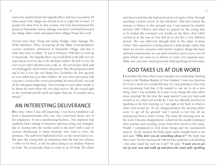were even washed down the Sigatoka River and out to sea about 40 miles away! One village was buried in six to eight feet of mud. 23 people lost their lives in that cyclone, but God demonstrated His power at Nawairabe and no damage was done! God had honoured the village elders' faith and spared their village! Praise the Lord!

Several years later, Doug and Jackie Hodges (who manage The GFM Hamilton Office overseeing all the Bible Correspondence Courses students), ministered at Nawairabe Village, and this is what they have to share: *"It was in February 1998 that we went up to Nawairabe. The Sigatoka River was in full flood so the folk were not expecting us to arrive due to the shocking weather. We had to cross the river on tyre tubes and then scale a cliff, etc. We arrived after dark (and very bedraggled), much to their amazement. They then prepared a meal and it was a very late one! Being New Zealanders the first question we were asked was if we knew Rodney. We were then entertained with everyone's version of the events surrounding 'the man of God's' visit and all the subsequent happenings. Next morning we were taken outside to be shown the mark where the river had risen to. We also stayed right on the riverbank and the mark was higher than me. It certainly was a miracle."*

# **AN INTERESTING DELIVERANCE**

One time, when I was still pastoring, I received a telephone call from a businesswoman who was very concerned about one of her employees. It was a hairdressing business. The employee had suddenly had a change of character and was acting very strangely, like at closing time she would stand at the door with a pair of scissors threatening to harm anybody who tried to leave the premises. The staff were frightened of her, so the owner had to act. She gave the young lady an ultimatum that she had two choices ~ either to be fired, or she be taken along to see Rodney Francis for help. The young lady chose to come to me for help. We talked

and discovered that she had received an evil spirit of fear through watching a horror movie on the television. This had caused the woman to behave in this unusual way. I was assisted by another minister (Bill O'Brien) and when we prayed for the young lady to be healed she screamed very loudly on the floor, then rolled toward us as she was set free and sat at our feet a very different person. She was delivered through faith in the name of Jesus Christ. This experience is being shared to help people realize that when we involve ourselves with fearful, negative things that have spiritual connotations, we can open ourselves up to receive an evil spirit which can cause us to behave in some very unusual ways. Make sure you only watch good and edifying things on television.

# **GOD TAKES US AT OUR WORD**

I remember the time when I was a speaker at a Leadership Training Camp in the Waikato Region of New Zealand. I was very desirous for God to move in a wonderful way. So I was praying to this end, even promising God that if He wanted to use me to do a new thing, then I was available (it is easy to say things like that when alone praying!) By the time the camp started I was very keen and excited to see what God would do. I was not officially involved in speaking at the first meeting, so I sat right at the back to observe what God would do. To my disappointment the meeting didn't seem "to get off the ground" and I started to feel that all my praying had been a waste of time. The more the meeting went on, the more I became disappointed. I observed the people looking at their watches and yawning, weary from their travels to the camp. Finally I complained to God about things and my unanswered prayers. To my surprise the Holy Spirit spoke straight back to me and said, *"Why don't you do something about it?"* My reply was that it was *"not my meeting and I did not have authority to do anything ~ but what would You want me to do?"* He said, *"I want you to get out of your seat and walk up and down the main aisle speaking*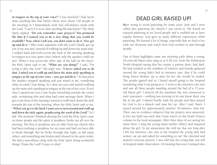*in tongues at the top of your voice!"* I was shocked! I had never done anything like that before (there were about 130 people in the meeting) so I immediately went into self-defence mode with the Lord, *"I can't! I've never done anything like that before!"* The Holy Spirit replied, *"Do you remember your prayers? You promised Me that if I wanted you to do a new thing that you would be available? Now, when I ask you, you don't want to do it. Now get up and do it."* After some argument with the Lord I finally got up out of my seat and, instead of walking up and down the main aisle, I walked back and forth across the back of the meeting speaking in tongues in a very quiet voice (where only the speaker could see me). When I was across the other side of the hall (at the back), the Holy Spirit said to me, *"What are you doing?"* I said, *"I'm trying to obey You, Lord."* His reply was, *"I never asked you to do that. I asked you to walk up and down the main aisle speaking in tongues at the top of your voice ~ now get and do it."* At that point the speaker stopped speaking and just stared at me, wondering what on earth I was doing. So I shut my eyes and started walking up the main aisle speaking in tongues at the top of my voice. Every time I opened my eyes I saw heads wrenching towards the centre aisle, wondering who and what had come amongst them. When I got to the front of the meeting I turned to walk back down the aisle towards the rear of the meeting, when the Holy Spirit said to me, *"When you get to the back I want you to turn around and walk up and down the aisle again, prophesying the word of the Lord!"* So I did. The moment I finished obeying the Lord the Holy Spirit came on those people and the spirit of prophecy broke out all over the meeting. The first to prophesy was an elder from my church who had been seeking to prophesy for six years and had not been able to break through. But he broke through that night, as did many others, and something was broken and released in the spirit realm. We had a marvellous camp with the Holy Spirit doing wonderful things. Praise the Lord! It pays to obey!

# **DEAD GIRL RAISED UP!**

After trying to avoid pastoring for some years, Jean and I were called into pastoring the church I was saved in. We found we enjoyed pastoring as we loved people and it enabled me to have regular ministry. God gave us many different experiences while pastoring. We learned a lot of things, especially that we had to live with our decisions and watch how God worked in and through people.

One of those highlights came one morning early when a young, 16-year-old Maori man rang us at 6:30 a.m. from the Palmerston North Hospital saying that his cousin, a patient there, had died. He had testified to the numbers of relatives and friends gathered around the young lady's bed in intensive care, that if he could bring Pastor Rodney up to pray for her she would be healed. The people agreed and so I found myself going to the hospital wondering what I was going in to. I went to the intensive care unit and saw all these people standing around the bed of a 17-yearold Maori girl. I noticed all the machines she was connected to were stationary  $\sim$  nothing was moving to let one know there was life in the girl. I shared briefly with the people and then prayed for God to do a miracle and raise her up. After I said *'Amen'* I stayed around for approximately another 30-minutes, then left. There was no evidence whatever that my prayers were answered; in fact my faith was such that I kept watch on the Death Notices column in the local newspaper. After three days of not seeing her name there, I rang the young man's mother (Mary) and enquired about the girl. To my amazement she told me that not long after I left the intensive care unit at the hospital the young lady had woken, sat up and asked for something to eat! She shocked and amazed everyone present. I was told that the young lady was still in hospital under observation. On hearing that news I jumped into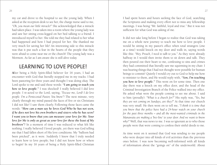my car and drove to the hospital to see the young lady. When I asked at the reception desk to see her, the charge nurse said to me, *"Oh, you mean our little miracle!"* She acknowledged that a miracle had taken place. I was taken into a room where the young lady was and saw her sitting cross-legged on her bed talking to a friend. I introduced myself to her. She told me they had related to her what had happened and how I had prayed for her. She thanked me very much for saving her life! An interesting side to this miracle was that it put such a fear in the hearts of the people that they were afraid to come near me or the church! The young lady was a Mormon. As far as I am aware she is still alive today.

#### **LEARNING TO LOVE PEOPLE!**

After being a Holy Spirit-filled believer for 16 years, I had an encounter with God that literally stopped me in my tracks. I had been pastoring for three years and thought I was doing okay. The Lord spoke to me and said these words: *"I am going to teach you how to love people.*" I was shocked! I really believed I did love people. I re-acted to the Lord, saying, *"Excuse me, Lord! I do love people. I'm a Pentecostal Pastor, You know"!* The next minute, very clearly through my mind passed the faces of five or six Christians I did not like! I saw them clearly. Following those faces came the words: *"How can a man say he loves God Who he has not seen, if he does not love his own brothers and sisters who he has seen? I want you to know that you can measure your love for Me. Your love for Me is only as great as your love for these the least of My brethren"!* In a moment of time I was reduced to what felt like nothing. I really believed I loved people, yet there was God telling me that I had fallen short of His love conditions. My "balloon had been pricked", as it were. Suddenly I knew that I truly needed to learn how to love people; but I did not know how or where to begin! In my 16 years of being a Holy Spirit-filled Christian

I had spent hours and hours seeking the face of God, searching the Scriptures and making every effort not to miss any fellowship meetings. I was being "Mr. faithful, loyal and true." But it was not sufficient for what God was asking of me.

It did not take long before I began to realize that God was taking me on a whole new journey to teach me how to love people. I would be sitting in my pastor's office when total strangers (one at a time) would knock on my door and walk in, saying words like this: *"Hey, Preach, I need to talk to you."* As they were already halfway in I would then invite them to sit down and talk. They then poured out their heart to me, confessing to sins and crimes they had committed that literally saw me squirming in my chair. I was hearing things that I had not thought were possible for human beings to commit! Quietly I would cry out to God to help me how to minister to them, and He would reply with, *"Son, I'm teaching you how to love people."* This went on for some time. Then one day there was a knock on my office door, and the head of the Criminal Investigation Branch of the Police walked into my office. He asked what were the people coming to see me about. I said to him (proudly): *"What is a church for?"* His reply was, *"Yes, but they are not coming on Sundays, are they?"* At that time our church was very small. He then went on to tell me, *"I think it is time that you knew that the police have had a 24-hour watch on your church for the past three months ~ and all the most-wanted criminals in the Manawatu are making a 'bee-line' to your door. And we want to know why!"* Well, that was news to me. I was so ignorant as to who those people were that were coming to confess their sinful deeds to me.

As time went on it seemed that God was sending to me people who were deeper into all kinds of evil activities than the previous ones before. I was now becoming well-informed with all kinds of information about the "goings on" of the underworld. About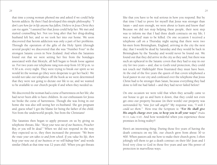that time a young woman phoned me and asked if we could help heroin addicts. By then I had developed this simple philosophy: *"I don't care how far in life anyone has fallen; I believe in Jesus Christ they can rise again."* I assured her that Jesus could help her. We met and started counselling her. Not too long after that her drug-dealing husband left her, and so we took her into our home. We soon discovered that heroin addiction was only a part of her problems. Through the operation of the gifts of the Holy Spirit (through several people) we discovered that she was "Number Four" in the strongest Satanic coven in New Zealand. And when the Satanists found out that we were setting her free from the bondages associated with that lifestyle, all hell began to break loose against us. For two years our telephone rang non-stop from 10:30 p.m. to 4:30 a.m. every night. They were trying to break our spirit so we would let the woman go (they were desperate to get her back). We would not take our telephone off the hook as we were determined that they were not going to dictate our life to us; and we wanted to be available to our church people if and when they needed us.

We discovered the woman had a curse of barrenness on her life; she had never been able to have children. In our enthusiasm for Jesus we broke the curse of barrenness. Though she was living in our home she was also still seeing her ex-husband. She got pregnant and, guess what? I got the blame for being the father of the child. Not from the underworld people, but from the Christians!

The Satanists then began to apply pressure on us by giving us telephone threats, like: *"Keep your nose out of our business, Preacher Boy, or you will be dead."* When we did not respond in the way they expected us to, they then increased the pressure: *"We know the route your son takes to and from school. If you value his life, then keep your nose out of our business or we will kidnap him"* and words similar (Mark at that time was 12 years old). When you get threats

like that you have to be real serious in how you respond. But by that time I had to prove for myself that Jesus was stronger than Satan  $\sim$  and sure enough, we were about to learn and know that! Because we did not stop helping these people, their next step was to inform me that I had three death contracts on my life; I was a 'marked' man to be killed. On one occasion I received a telephone call on a Thursday night saying that there were two hit-men from Birmingham, England, arriving in the city the next day; that I would be dead by Saturday and they would be back in Birmingham by the Tuesday and would never be found out. We found out that they did arrive in the city as they said; but there was such an upheaval in the Satanic coven that they had to stay in our city for two years ~ and, due to God's total protection, they could not touch me! Hallelujah! How frustrated they must have been. At the end of the five years the queen of that coven telephoned a local pastor in our city and confessed over the telephone that Jesus Christ had to be stronger than Satan, because everything they had done to kill me had failed  $\sim$  and they had never failed before!

On one occasion we were told that when they actually came to our house to get us and burn it down, that they could not even get onto our property because (in their words) our property was surrounded by *"nine feet tall angels!"* My response was, *"I wish I could see them."* How true the Scripture is: *"For He shall give His angels charge over you, to keep you in all your ways"* (Psalm 91:11; Luke 4:10). And how wonderful when you experience those promises in living reality!!

Here's an interesting thing: During those five years of having the death contracts on my life, our church grew from about 30 to 400. When pastors ask me how to make their church grow, I often jokingly tell them to get a death contract on their life! Jean and I lived very close to God in those five years and saw His power of protection in marvellous ways.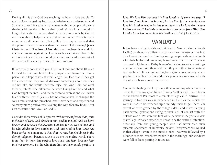During all this time God was teaching me how to love people. To say that He changed my heart as a Christian is an under-statement! So many times I felt totally inadequate with the people who were sharing with me the problems they faced. Many of them could no longer live with themselves; that's why they were sent by God to me. I was able to help so many of them find relief. There is much more we could share here, but suffice it to say we proved that the power of God is greater than the power of the enemy! **Jesus Christ is Lord! The love of God delivered us from fear and the enemy's threats against us.** That is such a victorious place to be in. I never knew that one could be so free and fearless against all the tactics of the enemy. Praise the Lord, we can!

If I am totally honest with you, I believe it took me about 10 years for God to teach me how to love people ~ to change me from a person who kept others at arm's length (for fear that if they got too close to me they would discover something about me they did not like, and would therefore reject me. And I did not want to be rejected!). The difference between living like that and what God brought me into ~ and the freedom to express one's self when filled with the love of Jesus  $\sim$  has no comparison. It changed the way I ministered and preached. And I have seen and experienced so many more positive results along the way. (See my book, "You Can Measure Your Love For God").

Consider these verses of Scripture: *"Whoever confesses that Jesus is the Son of God, God abides in him, and he in God. And we have known and believed the love that God has for us. God is love, and he who abides in love abides in God, and God in him. Love has been perfected among us in this: that we may have boldness in the day of judgment; because as He is, so are we in this world. There is no fear in love; but perfect love casts out fear, because fear involves torment. But he who fears has not been made perfect in* 

*love. We love Him because He first loved us. If someone says, 'I love God,' and hates his brother, he is a liar; for he who does not love his brother whom he has seen, how can he love God whom he has not seen? And this commandment we have from Him: that he who loves God must love his brother also"* (1 John 4:15-21).

## **VANUATU**

It has been my joy to visit and minister in Vanuatu (in the South Pacific) on about five different occasions. I well remember the first time I went there and on Sundays seeing people walking to church with their Bibles and one of my books under their arms! This was the result of John and Kathy Nunes-Vaz' vision to get my writings into book form, print them and then they sent them to Vanuatu to be distributed. It is an interesting feeling to be in a country where you have never been before and to see people walking around with one of your books under their arms!

One of the highlights of my times there  $\sim$  and my whole ministry ~ was the time my good friend, Harvey Walker and I, were taken to the island of Pentecost to a remote village called Naruwa. The journey to Naruwa was an experience in itself, as the vehicle we were in had to be winched up a muddy track to get there. On arrival we were greeted by the village elders, and it was stepping back several generations owing to their lack of contact with the outside world. We were the first white persons in 27 years to visit that village. What an experience it was to be the centre of attention, especially from the young people who had never seen such anaemic specimens of humanity before! Everywhere we walked in that village  $\sim$  even to the outside toilet  $\sim$  we were followed by a number of them. When we awoke in the mornings, our windows were full of faces peering in to see us!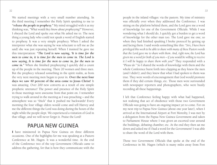We started meetings with a very small number attending. In the third meeting I remember the Holy Spirit speaking to me to *"release the people to prophesy."* My mind struggled with it as my thinking was, *"What would they know about prophesying?"* However, I obeyed the Lord and spoke out what He asked me to. The next thing a young lady who could not speak a word of English started to prophesy. It was a very simple prophecy. When I asked the interpreter what she was saying he was reluctant to tell me as (he said) she was just repeating herself. When I insisted he gave me this interpretation: *"The Lord is now saying, 'It is time for the men to come in, it is time for the men to come in. The Lord is now saying, It is time for the men to come in, for the men to come in."* When she finished prophesying I quickly did a count up of the people in the meeting. There 20 women and three men. But the prophecy released something in the spirit realm, as from the very next meeting men began to pour in. **Over the next four days we saw 40 percent of the area come to Jesus Christ!** It was amazing. Over 200 new converts as a result of one simple prophetic utterance! The power and presence of the Holy Spirit in those meetings were awesome from that point on. I remember trying to walk around in the meeting as I was preaching  $\sim$  and the atmosphere was so "thick" that it pushed me backwards! Every morning the four village elders would come and tell Harvey and me the different things the Lord was doing during the hours of the night while the people slept. We experienced a visitation of God in that village, and we will never forget it. Praise the Lord!

#### **PAPUA NEW GUINEA**

I have ministered in Papua New Guinea on three different occasions. One of the highlights for me was speaking at a Pastors Conference at Mt. Hagen. It was a wonderful time. At the end of the Conference two of the top Government Officials came to address the gathering, for that is how they communicate with the people in the inland villages: via the pastors. My time of ministry was officially over when they addressed the Conference. I was sitting on the platform behind them, and the Lord gave me a word of knowledge for one of the Government Officials. While I was wondering what I should do, I quickly got a burden to get a word of knowledge for the other man too. The Lord gave me one; so when they had finished speaking I broke protocol by getting up and facing them. I said words something like this: *"Sirs, I have been privileged this week to be able to share with many of these Pastors words that the Lord gave me to share with them. And, right now, the Lord has given me a word for both of you men ~ if you would be willing to receive it I will be happy to share them with you?"* They responded with a *"Please do."* So I shared the words of knowledge with them and the whole Conference burst forth into clapping as they knew the men (and I didn't); and they knew that what I had spoken to them was true. They were words of encouragement that God would promote them if they did certain things, etc. Those men were surrounded with newspaper reporters and photographers, who were busily recording all these happenings.

I left that Conference feeling happy with what had happened, not realizing that act of obedience with those two Government Officials was going to have an ongoing impact yet to come. For on my next trip to Papua New Guinea (about one year later), when I arrived at the International Airport at Port Moresby, I was met by a delegation from the Papua New Guinea Government and taken to Parliament House where I was given an escorted tour around the buildings, debating chamber, etc. At the end they then sat me down and asked me if I had a word for the Government! I was able to share the word of the Lord with them.

Those two Government Officials that spoke at the end of the Conference in Mt. Hagen (which is many miles away from Port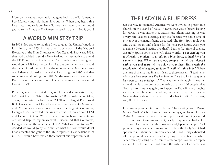Moresby the capital) obviously had gone back to the Parliament in Port Moresby and told them all about me! When they heard that I was returning to Papua New Guinea they made sure they could get me to the House of Parliament to speak to them. God is good!

#### **A WORLD MINISTRY TRIP**

In 1994 God spoke to me that I was to go to the United Kingdom for ministry in 1995. At that time I was a part of the National Executive of the Elim Churches of New Zealand. That year, 1994, they had decided to send a New Zealand representative to attend the UK Elim Pastors' Conference. Their method of choosing who would go in 1994 was to cast lots, i.e. put our names in a box and the name picked out would be the representative. My name came out. I then explained to them that I was to go in 1995 and that someone else should go in 1994. So the name was drawn again. Each time my name came out! Finally my name was left out  $\sim$  and I went in 1995.

Prior to going to the United Kingdom I received an invitation to go to "Christ For The Nations International" Bible Institute in Dallas, Texas, to minister for four days. (CFNI is the largest Pentecostal Bible College in USA.) Then I was invited to preach at a Ministers' and Missionaries Conference in one meeting at Columbus, Georgia, USA. I accepted, thinking that was not too far from CFNI and I could fit it in. When it came time to book our seats for our world trip, to my amazement I discovered that Columbus, Georgia, was on the other side of USA. What were we to do? We decided we would go by faith and see what the Lord would do (if I had accepted and gone to the UK to represent New Zealand Elim in 1994 I would have missed these marvellous opportunities).

# **THE LADY IN A BLUE DRESS**

On our way to mainland America we were invited to preach in a church on the island of Kauai, Hawaii. Two weeks before leaving for Hawaii, I was sitting in a Pastors and Elders Meeting. It was a very rare Leaders Meeting. I say this because we had a time of prayer over the matters being discussed. The Holy Spirit took over and we all sat in total silence for the next two hours. (Can you imagine a Leaders Meeting like that?). During that time of silence, the Holy Spirit spoke to me with these words: *"I am sending you to Hawaii to minister to a lady in a blue dress, to heal her of a wounded spirit. When you see her, compassion will be released within you and tears will run down your face. Share with the people what God is going to do in Hawaii with that lady."* When the time of silence had finished I said to those present: *"I don't know where you have been, but I've just been to Hawaii to heal a lady in a blue dress of a wounded spirit."* That was met with laughs. It was far more difficult to announce at a meeting of about 130 people what God had told me was going to happen in Hawaii. My thoughts were that people would be asking me (when I returned back to New Zealand) about that lady . . . and what if it didn't happen?, etc.) But I did obey.

I had never preached in Hawaii before. The meeting was at Pastor Mervyn Walker's Church (older brother to my good friend, Harvey Walker). I remember when I stood up to speak, looking around the church and, to my amazement, nearly every woman had a blue dress on! They were mainly Hawaiian and Japanese people. As I preached my eyes were looking for the lady the Holy Spirit had spoken to me about back in New Zealand. I had nearly exhausted all the possibilities when suddenly my eyes noticed a white American lady sitting there. Immediately compassion welled-up in me and I just knew that I had found the right lady. Her name was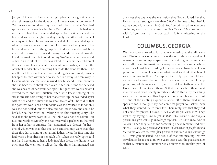Jo Lynn. I knew that I was in the right place at the right time with the right message for the right person! It was a 'God-appointment'! With tears running down my face I told the lady what God had spoken to me before leaving New Zealand and that He had sent me there to heal her of a wounded spirit. By this time she and her husband were also crying as they totally identified with what I was saying to her. She was instantly healed of that wounded spirit. After the service we were taken out for a meal and Jo Lynn and her husband were part of the group. She told me how she had been involved in a world-renowned Evangelistic Ministry, and how she loved the work, etc., but could not say *"No"* to whatever was asked of her. As a result of this she was asked to baby-sit the children of the Leader and his wife while they went out at nights; and then the Assistant Leader started wanting her to do the same for them. The result of all this was that she was working day and night, causing her spirit to snap within her, so she had run away. She ran away to Hawaii where she met and married her husband. From memory she had been there about three years. After some time she believed she was healed of her wounded spirit, but just two weeks before I arrived there, another Christian Sister (who knew nothing of her situation) said something to her that stirred-up the wounded spirit within her, and she knew she was not healed of it. She told us that the past two weeks had been horrible as she realized that not only was she not healed, but she also did not know how she could be healed. She then went on, relating to us this amazing story: She said that she never wore blue; that blue was not her colour. But just one week previously she had received a package in the mail from her father in America that contained two dresses for her ~ one of which was that blue one! She said she only wore that blue dress that day to honour her natural father; it was the first time she had worn a blue dress in her adult life! When the Holy Spirit told me that I was going to heal a lady in a blue dress, she did not even own one! She went on to tell us that the thing that impacted her

the most that day was the realization that God so loved her that He sent a total stranger more than 6,000 miles just to heal her! It was a wonderful moment in God! And I certainly had an awesome testimony to share on my return to New Zealand! My last contact with Jo Lynn was that she was back in USA ministering for the Lord.

# **COLUMBUS, GEORGIA**

We flew across America for that one meeting at the Ministers and Missionaries Conference. I was the second-to-last speaker. I remember standing up to speak and there sitting in the audience were all these international evangelists and speakers whose magazines I had been reading for some years. Now here I was preaching to them. I was somewhat awed to think that here I was preaching to them! As I spoke, the Holy Spirit would give me words of knowledge for different ones of them. I would stop preaching, ask them to stand up, and then deliver to them what the Holy Spirit told me to tell them. At that point each of them burst into tears and cried openly in public (I didn't think my preaching was that bad  $\sim$  smile). This happened for a number of them. At the end of the meeting a queue of about 20 of them lined-up to speak to me. I thought they had come for prayer so I asked them what they wanted me to pray for. Their reply was that they did not come for prayer. I asked, *"Then what did you come for?"* They replied by saying, *"How do you do that?" "Do what?" "How can you preach and give words of knowledge together? We don't know how to do that."* Then they said to me something I have remembered ever since... *"Rodney, we preach and minister to thousands of people around the world; you are the very first person to minister to and encourage us!"* I was gob-smacked! As a result of that one meeting that we travelled so far to speak in, two years later I was the guest speaker at that Ministers and Missionaries Conference in another part of USA!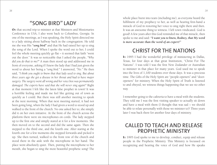**"SONG BIRD" LADY**

On that second trip to minister at that Ministers and Missionaries Conference in USA, I also went back to Columbus, Georgia. In one of the meetings, as I was speaking, the Holy Spirit directed me to a lady sitting about halfway back in the congregation. He told me she was His *"song bird"* and that He had raised her up to sing the song of the Lord. When I spoke the word out to her, I could feel the whole meeting quickly go flat  $\sim$  it seemed that faith "went out the door." It was so noticeable that I asked the people, *"Why did you do that to me?"* A man then stood up and addressed me in front of everyone, asking if I knew the lady that I had just given the word to about her being a *"song bird."* I answered, *"No."* He then said, *"I think you ought to know that that lady used to sing. But about three years ago she got a disease in her throat and had to have major surgery. The surgery went all wrong and her voice box was permanently damaged. The experts have said that she will never sing again!"* Right at that moment I felt like the latest false prophet in town! It was a horrible feeling and made me feel like getting out of town as quickly as I could. But there was still another meeting to speak at the next morning. When that next meeting started, it had not been going long, when the lady I had given a word to stood up and walked to the front of the church. No one asked her to; she simply did it on her own initiative. At the front of the church across the platform there were six microphones on cords. The lady stepped up to the first one and simply stared at it for a few moments. She then moved on to the second and did the same again. Then she stepped to the third one, and the fourth one. After staring at the fourth one for a few moments she stepped forwards and picked it up. She then turned, walked to the front row of the church and stood there in the aisle with the microphone in her hand. The place went absolutely quiet. Then, putting the microphone to her mouth, she began to sing the most beautiful prophetic song! The

whole place burst into tears (including me), as everyone heard the fulfilment of my prophecy to her, as well as hearing first-hand a miracle of God in restoring her voice to sing right there and then. It was an awesome thing to witness. I left town vindicated. God is good! A few years after this God reminded me of that miracle, then spoke to me and said: *"I want you to know, Rodney, that My word is more accurate than the word of an expert!"*

# **CHRIST FOR THE NATIONS**

In 1995 I had the wonderful privilege of ministering in Dallas, Texas, for four days at that great Institution, "Christ For The Nations". I was told I was the first New Zealander or Australian to minister in that place for many years. God used me to speak into the lives of 1,100 students over those days. It was a precious time. The Gifts of the Holy Spirit are "people-openers" and "dooropeners" for ministry. When the Holy Spirit of Truth is listened to and obeyed, we witness things happening that we see no other way.

I remember going to the cafeteria to have a meal with the students. They told me I was the first visiting speaker to actually sit down and have a meal with them (I thought that was sad  $\sim$  we should be able to relate personally with those we minister to)! Three years later I was back there for another four days of ministry.

# **CALLED TO TEACH AND RELEASE PROPHETIC MINISTRY**

In 1995 God spoke to me to develop, conduct, equip and release people in the Prophetic Ministry. This Ministry is focussed on recognizing and hearing the voice of God and how He speaks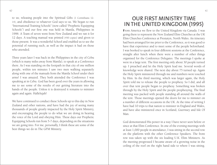to us; releasing people into the Spiritual Gifts (1 Corinthians 12- 14), and obedience to whatever God says to us. We began to run "International Training Schools" (now called "Prophetic Equipping Schools") and our first one was held in Manila, Philippines in 1996. A Team of seven went from New Zealand and we ran it for 12 days. A teaching manual was printed (450 copies) and given to those present. It was a wonderful School and enabled us to see the potential of running such, as well as the impact it had on those who attended.

Three years later I was back in the Philippines in the city of Cebu (which is many miles away from Manila), to speak at a Conference there. As I was standing on the footpath in that city of one million people, within ten minutes I saw two men walking separately along with one of the manuals from the Manila School under their arms! I was amazed. They both attended the Conference I was speaking at in Cebu. God has been good over the years in allowing me to see some of the results of our getting literature into the hands of the people. Unless it is destroyed it remains to minister again and again. Hallelujah!

We have continued to conduct these Schools up to this day in New Zealand and other nations, and have had the joy of seeing many thousands of people greatly impacted by the Holy Spirit Ministry, and encouraging the people to do what we are doing in hearing the voice of the Lord and obeying Him. These days our Prophetic Equipping Schools run from 5-7 days, depending on the situations we are going into. For me, personally, I think these are some of the best things we do in The GFM Ministry.

# **OUR FIRST MINISTRY TIME IN THE UNITED KINGDOM (1995)**

From America we flew to the United Kingdom via Canada. I was going there to represent the New Zealand Elim Churches at the UK Elim Churches Conference at Prestatyn, North Wales. An itinerary had been arranged for me prior to the Conference, so it was good to have that experience and to meet some of the people beforehand. I was booked to speak in four different sessions at the Conference, straight after lunch when there were a number of other things organised for the Conference Delegates. The meetings I spoke at were in a large tent. The first meeting only about 30 people turned up. I preached and let the Holy Spirit lead me. Several words of knowledge were shared. The next day about 75 turned up. Again the Holy Spirit ministered through me and numbers were touched by Him. In the third meeting, which was larger again, the Holy Spirit told me to release the people to prophesy. So I did, and all over that tent people began to prophesy. Something was broken through by the Holy Spirit and the people prophesying. The final meeting was packed with people standing all around the walls of the tent. Those meetings opened the doors for me to minister on a number of different occasions in the UK. At the time of writing I have had 10 trips to that nation to minister in England and Wales, and have also ministered once in Scotland, Guernsey and Isle Of Man.

God demonstrated His power in a way I have never seen before or since at that Elim Conference. In one of the evening meetings with at least 1,000 people in attendance, I was sitting in the second row on the platform with the other Conference Speakers. The front row was taken up with the six leading U.K. Elim Ministers. As the meeting progressed I became aware of a growing noise in the ceiling of the roof on the right hand side to where I was sitting.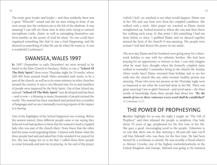The noise grew louder and louder  $\sim$  and then suddenly there was a great "Whoosh!" sound and the six men sitting in front of me were swept into the orchestra pit to the left of the platform. It was amazing! I can still see those men in their suits trying to unravel microphone cords, chairs, as well as untangling themselves one from another as the power of God hit them. No one could have organised something like that! It was a God Happening, and He showed us something of what He can do when He wants to. It was a wonderful Conference!

#### **SWANSEA, WALES 1997**

In 1997 (September to early December) we were invited to be based in the Elim Church in Swansea, Wales, to run a **"School Of The Holy Spirit"** there every Thursday night for 14 weeks, where 200-300 from around South Wales attended each week; to be a part of the church, as well as to do some ministry in other churches around the country. It was a very blessed time for us and numbers of people were impacted by the Holy Spirit. Out of that School my manual **"School Of The Holy Spirit"** was developed and has been  $\sim$  and is now  $\sim$  a blessing to many thousands of people around the world. The manual has been translated and printed into a number of languages and we are continually receiving reports of the impact it is having.

One of the highlights of the School happened one evening. Before the session started, three different people came to me saying they believed God had spoken to them that He wanted to heal a crippled lady who was part of the church there. None knew that the other had the same word regarding Elaine. I shared with Elaine what the three people had said and asked her if she minded if we prayed for her. She was happy for us to do that. I called those three people to come forwards and join me in praying. At the end of the prayer

(which I led), we watched to see what would happen. Elaine was in her 30's and was bent over from her crippled condition. She walked with a stick. After prayer we watched as Elaine slowly straightened up, looked around at where she was and then threw her walking stick away. At that point I did something I had not done before or since: I grabbed Elaine and we danced together around the front of the church! It was amazing. The people were ecstatic! God had shown His power in our midst.

The next day Elaine and her husband were going away for a threeweek holiday to stay with her atheistic brother. She had been praying for an opportunity to witness to him. I can only imagine what he must have thought when his formerly crippled sister walked in normally! I remember being in the church the Sunday (three weeks later) Elaine returned from holiday, and to see her walk into the church like any other normal, healthy person was amazing. Those who were not present on the Thursday night were so impacted to see what the Lord had done in her life. There was great rejoicing! I am so glad I listened ~ and acted upon ~ the three words of knowledge those three people had about her. *"By the mouth of two or three witnesses every word shall be established"*  (2 Corinthians 13:1).

## **THE POWER OF PROPHESYING**

Another highlight for us was the night I taught on "The Gift of Prophecy" and then released the people to prophesy. One lady, about 55 years of age, prophesied for the first time in her life. She gave a good, encouraging word to the people. Unknown to us was that there was in that meeting a 28-year-old man (we'll call him Edward) who was there for the first time. He had been invited by a workmate to attend. He was actually a blood relative to Aleister Crowley, one of the highest warlords/warlocks in the United Kingdom and Europe. Edward was going to be initiated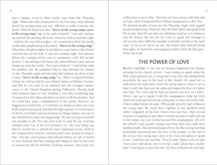into a Satanic coven in three weeks' time from that Thursday night. When that lady prophesied for the first time, what Edward heard her prophesying was very different to what everyone else heard. What he heard was this: *"You're in the wrong camp; you're in the wrong camp," etc.* So he said to himself, *"I sure am!"* and got up and left the meeting. However, when he went to bed that night  $\sim$  and for the next three nights  $\sim$  he continued to hear the words of that lady prophesying in his mind, *"You're in the wrong camp."* After three sleepless nights he decided to come back to the church and seek me out for help. It was now Sunday night, five minutes before the evening service was to commence, with 400 people present. I was sitting at the front row when Edward came and sat beside me with the words, *"You've got to help me."* I asked him what his problem was. He explained that he had attended my session on the Thursday night and this lady had spoken out these words to him, *"You're in the wrong camp,"* etc. When I enquired further of him, he told me that he was a blood relative of Aleister Crowley and that he was soon to be initiated into the strongest Satanic coven in the United Kingdom during Halloween. Having dealt with Satanists back in New Zealand, I was then wondering that if I prayed for him then and there (in front of all the people), that we could have quite a manifestation of the enemy. However, he begged me to help him, so I took his two hands in mine (we were both seated) and quietly led him through a prayer of renunciation of all his evil beliefs and involvement in things Satanic (no one in the church knew what was happening). He was very good and did not manifest at all. Over the next week we had the joy of seeing Edward come free of his evil practices, etc. The next thing was that he invited me to attend his water baptismal service (held at the Swansea Elim Church), and Jean and I were present to witness that. Our last conversation with Edward before we left to return to New Zealand was him coming and telling us that he was now to prepare his life for full-time Christian ministry; that Jesus was

calling him to serve Him. That was our last contact with him and we have often wondered where Edward progressed to after that. We learned another lesson on that Thursday night with regards people prophesying. When we obey the Holy Spirit and speak forth His words, then He can take our obedience and use it in whatever way He desires; He can use our voice to speak one message to one person and a different message to another person at the same time! As far as we know no one else heard what Edward heard that night; we heard the encouraging prophecy that the lady gave. Praise the Lord!

#### **THE POWER OF LOVE**

Another highlight of our stay in Swansea happened one Sunday morning in the church service. I was waiting to speak when the Holy Spirit pointed out a young man to me who was sitting about two-thirds the way to the back of the church. He asked me to walk down the main aisle, invite the young man to come to me so that I could take him into my arms and impart the love of a father into him. The Lord said he had not known the love of a father. When I got up to speak I told the congregation what the Holy Spirit had said and invited the young man to meet me in the aisle. I then walked down the aisle (400 people present) and embraced the young man. We stood there together in one another's arms while I imparted all the love I knew how into him. After several minutes we separated, and when I turned around to walk back up to the pulpit, my eyes looked around the congregation. All over the church I saw people wiping tears from their eyes with their handkerchiefs. That demonstration of love for that young man had powerfully ministered into the lives of the people. At the end of the service that young man came to the front and asked to speak to me. I told him that was fine. Then he said, *"Before I tell you what I have never told anyone else in my life, could I please have another hug!"* I was happy to give him one. He then looked at me and said,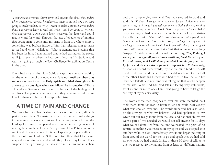*"I cannot read or write; I have never told anyone else about this. Today, when I was in your arms, I heard a voice speak to me and say, 'Son, I am going to teach you how to write.' I want to make a promise to you today, that I am going to learn to read and write ~ and I am going to write my first letter to you'".* Two weeks later I received that letter and could read it word for word! Through that act of obedience of inviting that young man to come into my arms in front of a whole church, something was broken inside of him that released him to learn to read and write. Hallelujah! What a tremendous blessing that has been for him. I later learned that he had existed on the streets until just recently when he had found Jesus as His Saviour and was then going through the Teen Challenge Rehabilitation Centre in the area.

Our obedience to the Holy Spirit always has someone waiting on the other side of our obedience. **It is not until we obey that we see the works of the Holy Spirit unfolded through us. It always turns out right when we follow His instructions!** Those 14 weeks at Swansea have proven to be one of the highlights of our lives. The people were lovely and they were impacted by our love for them and by the Holy Spirit Ministry.

## **A TIME OF PAIN AND CHANGE**

We came back to New Zealand and walked into a very difficult period of our lives. No matter what we tried to do to solve things it just seemed to work against us. After some period of time, the Lord spoke to me. It happened when I was ministering outside of my regular church circles at a Presbyterian Elders Retreat in South Auckland. It was a wonderful time of speaking prophetically into the lives of those Leaders. At the end I told them that I had some major decisions to make and would they please pray for me. They surprised me by "turning the tables" on me, sitting me in a chair

and then prophesying over me! One man stepped forward and said this: *"Rodney I have got this crazy word for you. It does not make sense to me, but I am going to tell you anyway. God is showing me that you do not belong in the local church."* (At that point my "alarm bells" began to ring as I had been a local church person all my Christian life.) He then said: *"The Lord is now showing me why you do not belong in the local church ~ it is because you belong in every church! As long as you stay in the local church you will always be weighed down with Leadership responsibilities."* At that moment something "snapped" inside of me and I heard the Lord say, *"Yes, Rodney, I want you to resign all your church positions, trust Me with your life and future, and I will show you what I can do for you. Live by faith and do not raise a financial support base!"* Amazingly, as soon as I heard those words, my natural mind (and the devil) tried to take over and dictate to me. I suddenly began to recall all those other Christians I knew who had tried to live the faith life (and had failed), and my mind was telling me that would happen to me also! What God had said left me feeling very vulnerable, for it meant for me to obey Him I was going to have to let go the security of my pastor's salary!

The words those men prophesied over me were recorded, so I took them home for Jean to listen to, so she could hear exactly what was spoken over me. The words impacted her also, and, on the strength of what we believed God had spoken to us, we wrote out our resignations from the local and national church we were a part of. We decided we would not tell anyone for 10 days what we had done. Yet from the time we passed "the point of no return" something was released in my spirit and we stepped into another realm in God. Immediately invitations began pouring in from around the world for me to go and speak (yet we had told no one what we had done). In fact in those 10 days of telling no one we received 20 invitations from at least six different nations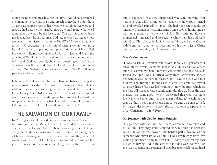asking me to go and preach. Since that time I would have averaged one invitation every day to go and preach somewhere! After those 10 days, as people began to hear what we had done, we were told that we had made a big mistake, that we would regret what we'd done, that we would be the losers, etc. The truth is that we have not looked back from that time. God had released us into a whole new realm of ministry. At that time The GFM Ministry had grown to be in 55 countries  $\sim$  at the time of writing we are now in at least 110 nations, impacting multiplied thousands of lives. God has wonderfully provided financially for both Jean and I, and the growing GFM Ministry! Our testimony is that every month every bill is paid. God has certainly shown us something of what He can do when we will trust and obey Him! And the ministry continues to grow. Our Website alone averages around 850-900 different people per day visiting it.

It is very difficult to describe the difference between living the way we used to (with man's security of a salary) and that of living without one, and not knowing where the next dollar is coming from. I am just so glad that we obeyed the Lord, for we would never have experienced the things we have and do, if we had not stepped out in obedience to what He asked of us. And I have never felt more secure in all my life as I do now! Hallelujah!

#### **THE SALVATION OF OUR FAMILY**

In 2007 Jean and I moved to Paraparaumu, New Zealand, to be closer to our son, Mark, his wife, Tania, and their two lovely children, Annahlise and Brayden. Besides wanting to be able to see our grandchildren growing up, we were desirous of seeing them all become born-again Christians, as at that time they were not walking with God. Not too long after we moved here we had the joy of seeing a big transformation taking place with their lives  $\sim$ 

and it happened in a very unexpected way. One morning (can you believe it, while sitting on the toilet!) the Holy Spirit turned up and revealed Himself to Tania ~ she had not been brought up with any Christian convictions, came from a broken home, and so was quite ignorant as to the ways of God. Her spirit and life were immediately impacted and so began a whole new life and walk with God. This change in Tania impacted Mark, as he saw God in a different light, and he, too, recommitted his life to Jesus Christ and has been walking with Him ever since.

#### Mark's Comments:

"I was raised a Christian but never knew God personally. I encountered several demonic attacks as a child and saw others attacked as well by them. From my wrong mind-set of Who God/ Jesus/Holy Spirit was, I turned away from Christianity, falsely believing it was too hard to please God. I saw the true God in a different light through His impact with Tania. I recommitted myself to Jesus Christ a few days later, and now know the truth which set me free. All I needed was a gentle reminder that God was the true Master. This came about when I discovered that God was more like a loving Father and not the "mean old Judge" watching out that we didn't put a foot wrong and so we end up going to hell. My biggest desire now is to teach the truth to others, especially to other Christians" ~ *Mark Francis*.

#### My Journey with God by Tania Francis:

"My journey with God has been hard, awesome, rewarding and full of fun! That may sound contradictory but this has been my walk. Full of ups and downs! The hardest part of my walk from someone who never knew God until I was sovereignly saved five years ago has been trying to trust Him. Trying to control my own life whilst having God in the centre of it didn't work too well for me! God is gentle and patient and soon began to teach me (as hard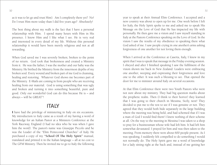as it was to let go and trust Him). Am I completely there yet? No! Do I trust Him more today than I did five years ago? Absolutely!

The best thing about my walk is the fact that I have a personal relationship with Him. I spend many hours with Him in His presence. I know Him and I like what I see. He is very real and interested in every detail of my life. Without this personal relationship it would have been merely religious and not at all rewarding.

When God saved me I was severely broken; broken to the point of no return. God took that brokenness and created a Ministry from it. He was the father, I was the mother and our baby was the Ministry. He birthed the Ministry from the innermost depths of my broken soul. Every wound and broken part of me God is cleansing, healing and restoring. Whatever God shows me becomes part of the Ministry. E-Mails are coming in from people who are receiving healing from our material. God is using something that was ugly and broken and turning it into something beautiful, pure and good. Only our wonderful God can do this because He is ~ and always  $\sim$  will be GREAT"!

#### **ITALY**

I have had the privilege of ministering in Italy on six occasions. My introduction to Italy came as a result of my having a word of knowledge for an Italian Pastor at a Ministers Conference at the York Raceway, England (I had no idea who he was when I gave him the word). The pastor's name was Giuseppe Piccolo and he was the Leader of the "Elim Pentecostal Churches" of Italy. He purchased a copy of my **"School Of The Holy Spirit"** manual, translated and printed it in the Italian language ~ all at no cost to The GFM Ministry. Then he invited me to go to Italy the following

year to speak at their Annual Elim Conference. I accepted and a new country was about to open up for me. One week before I left for Italy, the Holy Spirit spoke to me and asked me to speak His Message on the Love of God that He has impacted my life with personally. He then gave me a vision and I saw myself standing in Italy at the Pastors Conference speaking on the Love of God. In the vision I saw the results of my obedience to speaking there what God asked of me. I saw people crying in one another's arms asking forgiveness of one another for not loving them enough.

When I arrived at the Conference at Caserta, Italy, I knew in my spirit that I was to speak that message in the Friday evening session. I obeyed and after I finished speaking I saw the fulfilment of the vision shown me back in New Zealand: Leaders were embracing one another, weeping and expressing their forgiveness and love one to the other. It was such a blessing to see. That opened the door for me to minister around Italy on several occasions.

At that Elim Conference there were two Youth Pastors who were not sure about my ministry. They had big question marks about the prophetic realm. Then (I think to their horror) they learned that I was going to their church in Messina, Sicily, next! They decided to put me to the test to see if I was genuine or not. They agreed that they would both hide separately in the large building where the meeting was being held, and had schemed that if I was a man of God I would find them! I knew nothing of their scheme at all. On the way to the meeting in Messina I was taken to a shop to pray for a businessman whose wife had left him. It had left him somewhat devastated. I prayed for him and was then taken to the meeting. From memory there were about 600 people present. As I was speaking, I suddenly felt compelled to do something I would not normally do. The Holy Spirit gave me a word of knowledge for a lady sitting right at the back and, instead of me getting her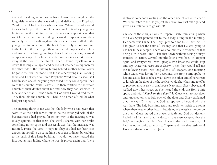to stand or calling her out to the front, I went marching down the long aisle to where she was sitting and delivered the Prophetic Word to her. I had no idea who she was. When I turned around to walk back up to the front of the meeting I noticed a young man hiding across the building behind a large round support beam that went from the floor to the ceiling. I carried on speaking and then suddenly I started walking down the aisle again and called to the young man to come out to the front. Sheepishly he followed me to the front of the meeting. I then ministered prophetically to him and, instead of allowing him to go back to where he was, I carried on speaking again for a little bit with him standing a short distance away at the front of the church. Then I found myself walking down that long aisle again and called out another young man on the other side of the building hiding behind another beam. When he got to the front he stood next to the other young man standing there and I delivered to him a Prophetic Word also. As soon as I had finished one of the young men asked if they could speak (they were the church's Youth Pastors). He then testified to the whole church of their doubts about me and how they had schemed to hide and see that if I was a man of God then I would find them. They then told the church that I had to be a man of God for what had just happened.

The amazing thing to me was that the lady who I had given that word to at the back turned out to be the estranged wife of the businessman I had prayed for on my way to the meeting (I was totally ignorant of that fact). The word I shared with her broke something in her spirit and the result was that the marriage was restored. Praise the Lord! It pays to obey. If I had not been free enough in myself to do something out of the ordinary by walking to the back of that large building, I would not have noticed the first young man hiding where he was. It proves again that "there

is always somebody waiting on the other side of our obedience." When we listen to the Holy Spirit He always works it out right and gives us a testimony to go with it!

On one of those trips I was in Trapani, Sicily, ministering when the Holy Spirit pointed out to me a lady sitting in the meeting. Her name was Giusy. The Holy Spirit told me to tell her that He had given to her the Gifts of Healings and that He was going to use her to heal people. There was no immediate evidence of that being a true word, and I left that town without seeing Giusy's ministry in action. Several months later I was back in Trapani again, and everywhere I went, people who knew me would stop and say, *"Have you heard about Giusy?"* Then they would tell me the following story: Not long after I left Trapani, one morning while Giusy was having her devotions, the Holy Spirit spoke to her and asked her to take a walk down the other end of her street; to knock on the door of the house He would show her, and to offer to pray for anyone sick in that house. Nervously Giusy obeyed and walked down her street. As she neared the end, the Holy Spirit spoke and said, *"Knock on that door."* So Giusy went to that door and knocked on it. A lady opened the door and Giusy explained that she was a Christian, that God had spoken to her, and why she was there. The lady burst into tears and took her inside to a room where there was another lady in bed dying of a massive tumour on the brain. Giusy prayed the prayer of faith and God wonderfully healed her! I am told that the doctors have even accepted that the lady's healing is a miracle of God. Praise to the Lord! I am so glad I had the opportunity to return to Trapani and hear that testimony! How wonderful is our Lord Jesus!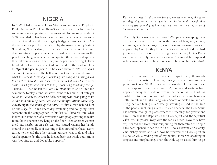#### **NIGERIA**

In 2007 I led a team of 11 to Nigeria to conduct a "Prophetic Equipping School" in Akwa Ibom State. It was out in the backblocks so we were not expecting a large turn-out. To our surprise about 3,000 attended. It has been the only time in my life when we were escorted to and from the meetings by bodyguards to protect us. On the team was a prophetic musician by the name of Kerry Wright (Hamilton, New Zealand). He had spent a small amount of time demonstrating prophetic music and it had created a stir among the people watching as others had interpreted the music and spoken their interpretations with accuracy to the person receiving it. Then he asked the Holy Spirit what to do next and felt the Lord told him to *"Quiet the people first."* So he asked them to *"please be quiet and wait for a minute."* The hall went quiet and he waited, unsure what to do next: *"I could feel something like heavy air hanging about three metres above the stage floor over the entire hall ~ but I have never sensed that before and was not sure if I was being spiritually overlyambitious."* Then he felt the Lord say, *"Play now,"* so he lifted the saxophone to play a tune, whatever came to his mind but only got so far as *"one note, which he held, turning what was going to be a tune into one long note, because the manifestations came very quickly upon the sound of the note."* At first a man behind him on the stage fell to his knees dry wretching and coughing; then someone in the congregation to his left fell forwards into what looked like some sort of a convulsion with people parting to make room for the person now lying on the floor. Then another woman cried out nearby on an aisle seat and started waving her hands around the air madly as if swatting at flies around her head. Kerry turned to me and the other pastors, unsure what to do and what was happening; by the time he looked back the whole auditorium was "popping up and down like popcorn."

Kerry continues: *"I also remember another woman doing the same swatting thing further to the right back of the hall and I thought that was very strange and quite funny as it was the same swatting action of the woman at the front."*

 The Holy Spirit swept across those 3,000 people, sweeping them off their seats on to the floor  $\sim$  the noise of laughing, crying, screaming, manifestations, etc., was enormous. So many lives were impacted by God, for they knew that it was an act of God that had just taken place. It was truly amazing! From memory I think Kerry and I were the only ones left standing? You would be surprised at how many wanted to buy Kerry's saxophone off him after that!

#### **KENYA**

The Lord has used me to touch and impact many thousands of lives in the nation of Kenya, through my writings and my preaching (since 2004). It has been so wonderful to see and hear of the responses from that country. My books and writings have impacted many thousands of lives in that nation as the Lord has enabled us to print thousands of copies of several of my books in both Swahili and English languages. Scores of mails have and are being received telling of a sovereign working of God in the lives of the people, including many Christian Leaders. The Holy Spirit has broken through in places where the teachings for generations have been that the Baptism of the Holy Spirit and the Spiritual Gifts, etc., all passed away with the early Church. Now they have experienced the Holy Spirit outpouring for themselves their eyes have been opened to see the truth of New Covenant Christianity. One bishop wrote and said how he received the Holy Spirit in his house while reading one of my books. He started speaking in tongues and prophesying. Then the Holy Spirit asked him to go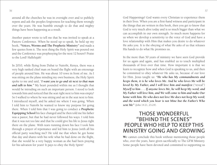around all the churches he was in oversight over and to publicly repent and ask the peoples forgiveness for teaching them wrongly over the years. He was humble enough to do that and mighty things have been happening as a result.

Another pastor wrote to tell me that he was invited to speak at a Pastors Conference. When he stood up to speak, he held up my book, **"Voices, Worms and The Prophetic Ministry"** and made a few quotes from it. The next thing the Holy Spirit was poured out and the Conference was prophesying for the next 12 hours!! Praise to the Lord! Hallelujah!

In 2010, while flying from Dubai to Nairobi, Kenya, there was a very high ranked chief man on board the flight with an entourage of people around him. He was about 10 rows in front of me. As I was sitting on the plane minding my own business, the Holy Spirit spoke to me and said, "*I want you to go and sit next to that man and talk to him."* My heart pounded within me as I thought that would be intruding on such an important person. I stood to look towards him and noticed that the seat right next to him was empty! So I walked to where he was sitting and sat in the seat next to him. I introduced myself, and he asked me where I was going. When I told him to Nairobi he wanted to know my purpose for going there. When I told him that I was going to conduct a **Prophetic Equipping School** his face changed and he then told me his father was a pastor, but that he had never followed his ways. I told him that it was not too late and that he could give his life to Jesus right there on the plane. With tears running down his face I took him through a prayer of repentance and led him to Jesus (with all his official party watching me)! He told me that when he got home that day and shares with his wife what he had done on the flight, that she would be a very happy woman as she had been praying for his salvation for years! It pays to obey the Holy Spirit!

God Happenings! God wants every Christian to experience them in their lives. When you are a first-hand witness and participant in the things that are written in this book, then you get to know that God is very much alive today and is so much bigger than what we can accomplish in our own strength. So much more happens for us when we develop a sensitivity to the voice of God and have a love relationship with Him that makes you desire to do whatever He asks you. It is the obeying of what He asks of us that releases His hands to do what He promises us.

In the more than 50 years of ministry we have seen God provide for us again and again, and has enabled us to touch multiplied thousands of lives over that time. How important it is that we learn to recognize how and when God is speaking to us, and then be committed to obey whatever He asks us, because of our love for Him. Jesus taught us: *"He who has My commandments and keeps them, it is he who loves Me. And he who loves Me will be loved by My Father, and I will love him and manifest* ("reveal") *Myself to him . . . If anyone loves Me, he will keep My word; and My Father will love him, and We will come to him and make Our home with him. He who does not love Me does not keep My word; and the word which you hear is not Mine but the Father's Who sent Me"* (John 14:21, 23-24).

# **THOSE WONDERFUL "BEHIND THE SCENES" PEOPLE WHO HELP TO KEEP THIS MINISTRY GOING AND GROWING**

We cannot conclude this book without mentioning those people who, over the years, have given sacrificially to The GFM Ministry. Some people have been devoted and committed to supporting us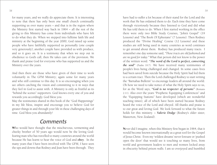for many years, and we really do appreciate them. It is interesting to note that there has only been one small church continually supporting us over many years  $\sim$  and that is in the region where the Ministry first started way back in  $1964 \sim$  all the rest of the giving to this Ministry has come from individuals who have felt to do what they do. When we stepped into fulltime faith life and ministry at the beginning of the year 2000, God raised up some people who have faithfully supported us personally (one couple very generously); another couple have provided us with produce, and so it goes on. It is a testimony that when we step out in obedience to God's call, then He takes care of the provision. We thank and praise God for everyone who has supported us and the Ministry over the years.

And then there are those who have given of their time to work voluntarily in The GFM Ministry; again some for many years and who still continue to this day. It is so encouraging when you see others catching the vision and committing to it in ways that they feel in God to assist with. A Ministry is only as fruitful as its "behind the scenes" supporters. God knows every one of you and rewards you accordingly. God bless you.

May the testimonies shared in this book of the "God Happenings" in my life bless, inspire and encourage you to believe God for greater things in and through your life in these challenging days of time. God bless you abundantly!

### **Comments**

Who would have thought that the mischievous, tormenting and cheeky brother of 50 years ago would now be the loving Godfearing man who has travelled to many countries around the world because He has learnt to hear the voice of God and **obey**. In the many years that I have been involved with The GFM, I have seen the ups and downs that Rodney and Jean have been through. They

have had to suffer a lot because of their stand for the Lord and the work that He has ordained them to do. Each time they have come through victoriously because they listened to God and did what He has told them to do. When I first started working in the office there were only two Bible Study Courses, "John's Gospel" (19 Lessons) and "The Book Of Ephesians" (7 Lessons). Then Rodney produced the "Divine Healing" Course (12 Lessons) and these studies are still being used in many countries as word continues to get around about them. Rodney has produced many tracts. I remember one day someone said, *"Those tracts are old fashioned and are no good for today."* What that person did not know is the power of the written word. *"The word of the Lord is perfect, converting the soul"* (Psalm 19:7). We have received many testimonies of people's lives being challenged and changed. In some cases lives had been saved from suicide because the Holy Spirit had led them to a certain tract. Then the Lord challenged Rodney to start writing the "Barnabas Bulletin" to encourage leaders all around the world. Oh how we need to take notice of what the Holy Spirit says to us, for as the Word says, *"God is no respecter of persons"* (Romans 2:11). Also over the years "Prophetic Equipping Conferences" and the "Equipping Stations" have developed (which are wonderful teaching times), all of which have been started because Rodney heard the voice of the Lord and obeyed. All thanks and praise is to our great and loving God. We look forward to what the future holds for this ministry. ~ *Valerie Dodge* (Rodney's older sister, Masterton, New Zealand).

Never did I imagine, when this Ministry first began in 1964, that it would become known internationally as a great tool for the Gospel of Jesus Christ. Even my 'wildest dreams' never foresaw or 'pushed open the door' that would see it touching so many lives, from world and government leaders to men and women locked away in obscurity behind prison walls. I am so overjoyed and humbled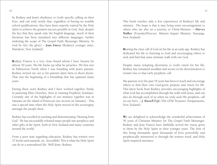by Rodney and Jean's obedience to God's specific calling on their lives, and can truly testify that, regardless of having no notable school qualifications, they have been expertly trained by the Holy Spirit to achieve the greatest success possible in God. And, despite the fact that they speak only the English language, much of their literature has been translated into different languages, further widening the scope of The Gospel Faith Messenger Ministry. To God be ALL the glory! ~ *Joan Emery* (Rodney's younger sister, Hamilton, New Zealand).

Rodney Francis is a very close friend whom I have known for almost 50 years. His life backs up what he preaches. We first met in Palmerston North when I was boarding with Jean's parents. Rodney invited me out to his parent's dairy farm to shoot ducks. That was the beginning of a friendship that has spanned many years.

During these years Rodney and I have worked together, firstly, in pastoring Elim Churches, then in running Prophetic Seminars. Certainly one of the highlights of our ministry together was in Vanuatu on the island of Pentecost (see section on Vanuatu). This was a special time when the Holy Spirit moved in His sovereignty amongst the people there.

Rodney has excelled in teaching and demonstrating "Hearing from God". He has successfully released many people into prophecy and other gifts of the Spirit, both in New Zealand and many countries around the world.

From a poor start regarding education, Rodney has written over 37 books and manuals, etc. Incredible! This is what the Holy Spirit can do in a surrendered life. Well done, Rodney.

This book touches only a few experiences of Rodney's life and ministry. The hope is that it may bring some encouragement to others who are also on a journey to Christ-likeness. ~ *Harvey Walker* (Founder/Director: Mission Impart Ministry, Tauranga, New Zealand).

Hearing the clear call of God on his life at an early age, Rodney has dedicated his life to listening to God and encouraging others to seek and find that same intimate walk with our God.

Despite many tempting diversions to God's vision for his life, Rodney has remained steadfast and secure in his determination to remain true to that early prophetic call.

His passion over the past 54 years has been to teach and encourage others to find their own God-given purpose and vision for life. This latest book from Rodney provides encouraging highlights of what God has accomplished through his walk with Jesus, and can also do through each of us when we truly seek His prophetic call on our lives. ~ *J. Russell Fyfe* (The GFM Treasurer, Paraparaumu, New Zealand).

We are delighted to acknowledge the wonderful achievement of 50 years of Christian Ministry for The Gospel Faith Messenger. Rodney and Jean Francis have faithfully served the vision given to them by the Holy Spirit in their younger years. The fruit of this being thousands upon thousands of lives powerfully and prophetically ministered to through the written word, and Holy Spirit-inspired utterance.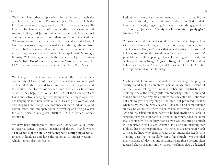We know of no other couple who minister in and through the genuine love of God as do Rodney and Jean. This dynamic is the firm foundation of all they say and do  $\sim$  God is Love and we are His love manifest here on earth. We have had the privilege to serve and support Rodney and Jean on ministry trips abroad, International Training Schools, Weekend Refreshers and Equipping Stations. Wherever we went, whatever we did, it was always the love of God that was so strongly expressed in and through the ministry. This rubbed off on us and on all those who have joined them in reaching out to others through The Gospel Faith Messenger Ministry. Well done good and faithful servants of Jesus. Yours  $\sim$ *Tony & Anita Donaldson* (Perth, Western Australia; Tony was The GFM Treasurer for some years when in Hamilton, New Zealand).

We first got to meet Rodney in the mid 80's in the farming community of Galatea. All these years later it is a joy to be part of The GFM Ministry and touching the lives of people around the world. The stories Rodney recounts here are as fresh now as when they happened. WHY? The Gifts of the Holy Spirit are living and active, changing lives, giving hope, setting people free, challenging us into new levels of faith. Hearing the voice of God and obeying Him changes circumstances, impacts individuals and communities, and can open doors to travelling and being a vessel for God to use in any given situation  $\sim$  ALL of which Rodney testifies to.

We have been privileged to travel with Rodney on GFM Teams to Nigeria, Kenya, Uganda, Tanzania and the Fiji Islands where **"The Schools of the Holy Spirit/Prophetic Equipping Schools"** impact individuals and have the potential to impact Nations  $\sim$ which Rodney also testifies to.

Rodney and Jean are to be commended for their stickability in the face of adversity, their faithfulness to the call of God on their lives, their integrity regarding finances  $\sim$  [everything goes into the Ministry]. Jesus said, *"Freely you have received, freely give"*  (Matthew 10:8).

We stand amazed that God would call a young man, baptise him with the evidence of tongues in a herd of cows, make a promise that if he obeys His (God's) voice that as God leads and he (Rodney) follows, success for the Kingdom of God will be the result. 50 years later it is still happening. Thanks for having us on board; it is such a privilege. ~ *Dougie & Jackie Hodges* (The GFM Hamilton Office Leaders, New Zealand, and Overseers of The GFM Bible Correspondence Courses Ministry).

My husband, John, was in Vanuatu some years ago, helping an elderly friend build a church for a small village on the island of Ambae. While felling trees, milling timber, and constructing the building, one of the teenage girls from the village came to John and asked him if he had any Bible studies that she could do. John was not able to give her anything at the time, but promised her that when he returned to New Zealand, if he could find some suitable studies, he would send them to her. When he arrived back in New Zealand, he asked our then pastor if he had anything suitable to send the teenager. Our pastor did not, but recommended that John make contact with a Rodney Francis who was pastoring a church in Palmerston North (New Zealand), and also administering free Bible studies by correspondence. We travelled to Palmerston North to meet Rodney, who then invited us to attend the Leadership Training Days that he regularly ran at his church. We attended many of these all-day training sessions, where those present often received sheets of notes on the various teachings that we listened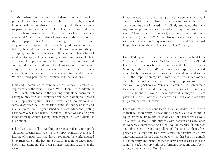to. My husband saw the potential of these notes being put into printed form so that many more people could benefit by the good foundational teaching that we so much enjoyed. Therefore, John suggested to Rodney that he would collate these notes, and print them in book, manual and booklet form. As all of the teaching notes (and Bible Correspondence Lessons) were printed on foolscap sheets of paper with a 'Gestetner' printing machine at that time, they were not computerized, so had to be typed into the computer before John could print them into book form. I was given the job of typing a multitude of notes into the computer. Many times I sat down to type, feeling depressed, defeated, and miserable. But, as I began to type, reading and learning from the notes as I did so, I found that the words were life-changing, and I would come away from the computer feeling refreshed and energized having my spirit and soul watered by life-giving Scriptures and teachings. What a turning point in my Christian walk that was for me!

John and I continued to print much of Rodney's literature for approximately the next 10 years. When John died suddenly in 1998, I tentatively took on the printing work alone, many times having to pray for God's inspiration and help in doing so. It was a very steep learning-curve for me. I continued to do this work for some years after that. By this time, some of Rodney's books and manuals were now being published in Malaysia where the printing costs were very much better. Therefore, Rodney was able to print much larger quantities, having them shipped to New Zealand for distribution.

It has been personally rewarding to be involved in a non-profit Christian Organisation such as The GFM Ministry, seeing and hearing of so many Christian lives throughout the world changed by participating in the free Bible Lessons, reading Rodney's many books and attending The GFM Ministry Training Days over the years.

I have now passed on the printing work to Karen (Murch) who, I am sure, is being just as blessed as I have been through this work, and I continue to be involved in The GFM, sending out the many requests for prayer that are received each day from around the world. These requests are currently sent out to over 200 prayer intercessors (plus to 6-7 Prayer Networks) who regularly pray with us in the spirit. ~ *Kathy Nunes-Vaz* (The GFM International Prayer Team Co-ordinator, Inglewood, New Zealand).

I met Rodney for the first time at a men's ministry night at Elim Christian Church, Howick, Auckland, back in April 1999 and I have been in association with Rodney and The Gospel Faith Messenger Ministry (GFM) ever since. Our spirits connected immediately, having myself being equipped and anointed with a call of the prophetic on my life. From that first encounter Rodney and I have ministered together on many 'Equipping Weekends' and week-long Schools of Ministry to churches in Conferences locally and International Training Schools/Prophetic Equipping Schools, around the world. I have observed Rodney's relentless passion to see the Body of Christ restored in their God-given gifts; fully equipped and functional.

I have witnessed Rodney and Jean as they have dedicated their lives to their call to ministry to know and recognize God's voice and to equip others to know the voice of God for themselves as well. They have followed God's purpose with passion and excellence in every way, demonstrating a high level of integrity, faithfulness and obedience to God, regardless of the cost to themselves personally. Rodney and Jean have always emphasized their love and compassion for God and His people. This has been a hallmark of the ministry and many thousands have been released into the same love relationship with God, bringing freedom and liberty through the ministry of Holy Spirit.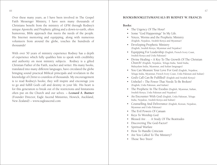Over these many years, as I have been involved in The Gospel Faith Messenger Ministry, I have seen many thousands of Christians benefit from the ministry of GFM through Rodney's unique Apostolic and Prophetic gifting and a down-to-earth, often humorous, Bible approach that meets the needs of the people. His Internet mentoring and equipping, along with numerous volunteers from around the globe, touches the hundreds of thousands!

With over 50 years of ministry experience Rodney has a depth of experience which fully qualifies him to speak with credibility and authority on most ministry subjects. Rodney is a gifted Christian Father of the Faith, teacher and writer. His many books, translated into many different languages, have circulated the globe bringing sound practical Biblical principals and revelation in the knowledge of Christ to countless of thousands. My encouragement is to read Rodney's books; they will inspire and encourage you to go and fulfill God's call and destiny in your life. His heart is for this generation to break out of the restrictions and limitations often put on the Church and our selves. ~ *Leonard A. Buttner*  (Founder Director, Eagle Ascend Ministries, Howick, Auckland, New Zealand) – www.eagleascend.com

#### **BOOKS/BOOKLETS/MANUALS BY RODNEY W. FRANCIS**

#### **Books:**

- The Urgency Of The Hour!
- Some "God Happenings" In My Life.
- • Voices, Worms and the Prophetic Ministry (English, Nepalese, Swahili Kenya and Myanmar)
- • Developing Prophetic Ministry (English, Swahili Kenya, Myanmar and Nepalese)
- • Equipping For Leadership (English, French Ivory Coast, Swahili Kenya and Urdu Pakistan)
- Divine Healing ~ A Key To The Growth Of The Christian Church! (English, Nepalese, Telugu India, Tamil India, Malayalam India, Myanmar, and Italian languages)
- You Can Measure Your Love For God (English, Nepalese, Telugu India, Myanmar, French Ivory Coast, Urdu Pakistan and Italian)
- • God's Call Can Be Fulfilled! (English and Swahili Kenya)
- Unbelief ~ The Power That Needs To Be Broken! (English, Urdu Pakistan, and Italian)
- The Prophetic In The Exodus (English, Myanmar, Italian, Swahili Kenya, Urdu Pakistan and Nepalese)
- An Encounter With God (English, Urdu Pakistan, Telugu India, Nepalese, Swahili Kenya and Italian)
- • Counselling And Deliverance (English, Korean, Nepalese, Myanmar and Urdu Pakistan)
- The Evil Powers Of Canaan
- • Keys To Worship God
- • Blessed Are . . . A Study Of The Beatitudes
- Discovering The God-Factor!
- • Spiritual Warfare
- How To Handle Criticism
- Are You Called To The Ministry?
- Those Two Trees!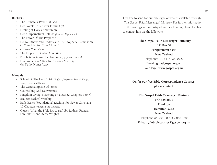#### **Booklets:**

- • The 'Dunamis' Power Of God
- • God Wants To Set Your Future Up!
- • Healing & Holy Communion
- • God's Supernatural Call! (English and Myanmese)
- The Power Of The Prophetic
- • Do You Know And Understand The Prophetic Foundation Of Your Life And Your Church?
- Capture Your Vision!
- The Prophetic Double Anointing
- Prophetic Acts And Declarations (by Joan Emery)
- Discernment ~ A Key To Christian Maturity (by Kathy Nunes-Vaz)

#### **Manuals:**

- • School Of The Holy Spirit (English, Nepalese, Swahili Kenya, Telugu India and Italian)
- The General Epistle Of James
- Counselling And Deliverance
- • Kingdom Living (Teaching on Matthew Chapters 5 to 7)
- • Baal (or Baalim) Worship
- Bible Basics (Foundational teaching for Newer Christians ~ 15 Chapters) (English and Chinese)
- • Curses (What the Bible has to say) (by Rodney Francis, Len Buttner and Kerry Wright)

Feel free to send for our catalogue of what is available through "The Gospel Faith Messenger" Ministry. For further information on the writings and ministry of Rodney Francis, please feel free to contact him via the following:

> **"The Gospel Faith Messenger" Ministry P O Box 57 Paraparaumu 5254 New Zealand** Telephone: (00 64) 4 904 0727 E-mail: **gfm@gospel.org.nz** Web Page: **www.gospel.org.nz**

**Or, for our free Bible Correspondence Courses, please contact:**

**The Gospel Faith Messenger Ministry P O Box 5601 Frankton Hamilton 3242 New Zealand** Telephone & Fax: (00 64) 7 846 0684 E-Mail: **gfmbiblecourses@gospel.org.nz**